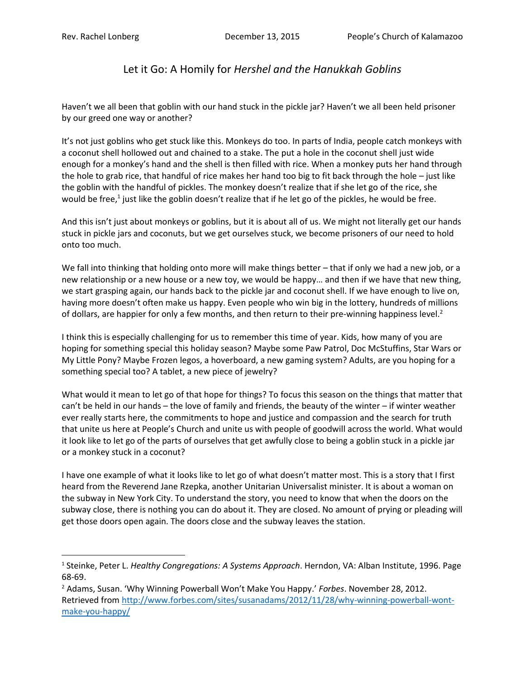l

## Let it Go: A Homily for *Hershel and the Hanukkah Goblins*

Haven't we all been that goblin with our hand stuck in the pickle jar? Haven't we all been held prisoner by our greed one way or another?

It's not just goblins who get stuck like this. Monkeys do too. In parts of India, people catch monkeys with a coconut shell hollowed out and chained to a stake. The put a hole in the coconut shell just wide enough for a monkey's hand and the shell is then filled with rice. When a monkey puts her hand through the hole to grab rice, that handful of rice makes her hand too big to fit back through the hole – just like the goblin with the handful of pickles. The monkey doesn't realize that if she let go of the rice, she would be free,<sup>1</sup> just like the goblin doesn't realize that if he let go of the pickles, he would be free.

And this isn't just about monkeys or goblins, but it is about all of us. We might not literally get our hands stuck in pickle jars and coconuts, but we get ourselves stuck, we become prisoners of our need to hold onto too much.

We fall into thinking that holding onto more will make things better – that if only we had a new job, or a new relationship or a new house or a new toy, we would be happy… and then if we have that new thing, we start grasping again, our hands back to the pickle jar and coconut shell. If we have enough to live on, having more doesn't often make us happy. Even people who win big in the lottery, hundreds of millions of dollars, are happier for only a few months, and then return to their pre-winning happiness level.<sup>2</sup>

I think this is especially challenging for us to remember this time of year. Kids, how many of you are hoping for something special this holiday season? Maybe some Paw Patrol, Doc McStuffins, Star Wars or My Little Pony? Maybe Frozen legos, a hoverboard, a new gaming system? Adults, are you hoping for a something special too? A tablet, a new piece of jewelry?

What would it mean to let go of that hope for things? To focus this season on the things that matter that can't be held in our hands – the love of family and friends, the beauty of the winter – if winter weather ever really starts here, the commitments to hope and justice and compassion and the search for truth that unite us here at People's Church and unite us with people of goodwill across the world. What would it look like to let go of the parts of ourselves that get awfully close to being a goblin stuck in a pickle jar or a monkey stuck in a coconut?

I have one example of what it looks like to let go of what doesn't matter most. This is a story that I first heard from the Reverend Jane Rzepka, another Unitarian Universalist minister. It is about a woman on the subway in New York City. To understand the story, you need to know that when the doors on the subway close, there is nothing you can do about it. They are closed. No amount of prying or pleading will get those doors open again. The doors close and the subway leaves the station.

<sup>1</sup> Steinke, Peter L. *Healthy Congregations: A Systems Approach*. Herndon, VA: Alban Institute, 1996. Page 68-69.

<sup>2</sup> Adams, Susan. 'Why Winning Powerball Won't Make You Happy.' *Forbes*. November 28, 2012. Retrieved from [http://www.forbes.com/sites/susanadams/2012/11/28/why-winning-powerball-wont](http://www.forbes.com/sites/susanadams/2012/11/28/why-winning-powerball-wont-make-you-happy/)[make-you-happy/](http://www.forbes.com/sites/susanadams/2012/11/28/why-winning-powerball-wont-make-you-happy/)